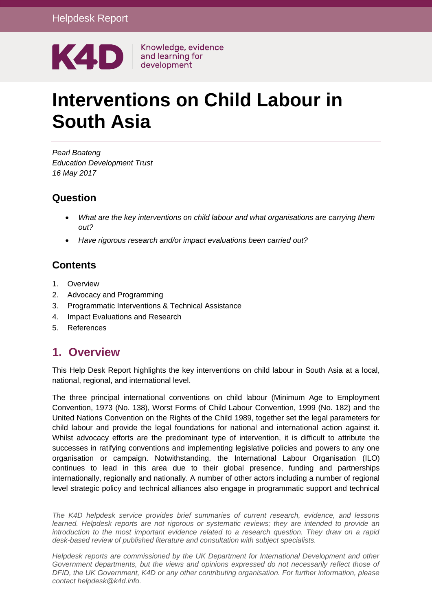

# **Interventions on Child Labour in South Asia**

*Pearl Boateng Education Development Trust 16 May 2017*

### **Question**

- *What are the key interventions on child labour and what organisations are carrying them out?*
- *Have rigorous research and/or impact evaluations been carried out?*

# **Contents**

- 1. [Overview](#page-0-0)
- 2. [Advocacy and Programming](#page-1-0)
- 3. [Programmatic Interventions & Technical Assistance](#page-9-0)
- 4. [Impact Evaluations and Research](#page-18-0)
- <span id="page-0-0"></span>5. [References](#page-20-0)

# **1. Overview**

This Help Desk Report highlights the key interventions on child labour in South Asia at a local, national, regional, and international level.

The three principal international conventions on child labour (Minimum Age to Employment Convention, 1973 (No. 138), Worst Forms of Child Labour Convention, 1999 (No. 182) and the United Nations Convention on the Rights of the Child 1989, together set the legal parameters for child labour and provide the legal foundations for national and international action against it. Whilst advocacy efforts are the predominant type of intervention, it is difficult to attribute the successes in ratifying conventions and implementing legislative policies and powers to any one organisation or campaign. Notwithstanding, the International Labour Organisation (ILO) continues to lead in this area due to their global presence, funding and partnerships internationally, regionally and nationally. A number of other actors including a number of regional level strategic policy and technical alliances also engage in programmatic support and technical

*The K4D helpdesk service provides brief summaries of current research, evidence, and lessons learned. Helpdesk reports are not rigorous or systematic reviews; they are intended to provide an introduction to the most important evidence related to a research question. They draw on a rapid desk-based review of published literature and consultation with subject specialists.* 

*Helpdesk reports are commissioned by the UK Department for International Development and other Government departments, but the views and opinions expressed do not necessarily reflect those of DFID, the UK Government, K4D or any other contributing organisation. For further information, please contact helpdesk@k4d.info.*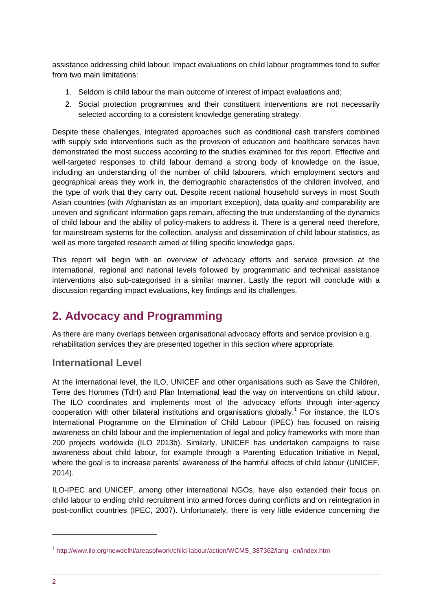assistance addressing child labour. Impact evaluations on child labour programmes tend to suffer from two main limitations:

- 1. Seldom is child labour the main outcome of interest of impact evaluations and;
- 2. Social protection programmes and their constituent interventions are not necessarily selected according to a consistent knowledge generating strategy.

Despite these challenges, integrated approaches such as conditional cash transfers combined with supply side interventions such as the provision of education and healthcare services have demonstrated the most success according to the studies examined for this report. Effective and well-targeted responses to child labour demand a strong body of knowledge on the issue, including an understanding of the number of child labourers, which employment sectors and geographical areas they work in, the demographic characteristics of the children involved, and the type of work that they carry out. Despite recent national household surveys in most South Asian countries (with Afghanistan as an important exception), data quality and comparability are uneven and significant information gaps remain, affecting the true understanding of the dynamics of child labour and the ability of policy-makers to address it. There is a general need therefore, for mainstream systems for the collection, analysis and dissemination of child labour statistics, as well as more targeted research aimed at filling specific knowledge gaps.

This report will begin with an overview of advocacy efforts and service provision at the international, regional and national levels followed by programmatic and technical assistance interventions also sub-categorised in a similar manner. Lastly the report will conclude with a discussion regarding impact evaluations, key findings and its challenges.

# <span id="page-1-0"></span>**2. Advocacy and Programming**

As there are many overlaps between organisational advocacy efforts and service provision e.g. rehabilitation services they are presented together in this section where appropriate.

### **International Level**

At the international level, the ILO, UNICEF and other organisations such as Save the Children, Terre des Hommes (TdH) and Plan International lead the way on interventions on child labour. The ILO coordinates and implements most of the advocacy efforts through inter-agency cooperation with other bilateral institutions and organisations globally.<sup>1</sup> For instance, the ILO's International Programme on the Elimination of Child Labour (IPEC) has focused on raising awareness on child labour and the implementation of legal and policy frameworks with more than 200 projects worldwide (ILO 2013b). Similarly, UNICEF has undertaken campaigns to raise awareness about child labour, for example through a Parenting Education Initiative in Nepal, where the goal is to increase parents' awareness of the harmful effects of child labour (UNICEF, 2014).

ILO-IPEC and UNICEF, among other international NGOs, have also extended their focus on child labour to ending child recruitment into armed forces during conflicts and on reintegration in post-conflict countries (IPEC, 2007). Unfortunately, there is very little evidence concerning the

<sup>&</sup>lt;sup>1</sup> http://www.ilo.org/newdelhi/areasofwork/child-labour/action/WCMS\_387362/lang--en/index.htm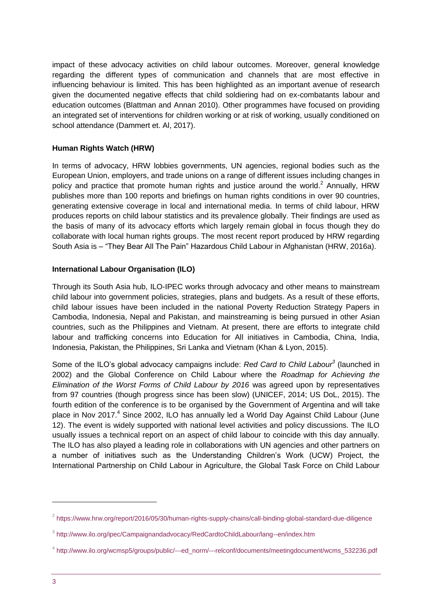impact of these advocacy activities on child labour outcomes. Moreover, general knowledge regarding the different types of communication and channels that are most effective in influencing behaviour is limited. This has been highlighted as an important avenue of research given the documented negative effects that child soldiering had on ex-combatants labour and education outcomes (Blattman and Annan 2010). Other programmes have focused on providing an integrated set of interventions for children working or at risk of working, usually conditioned on school attendance (Dammert et. Al, 2017).

### **Human Rights Watch (HRW)**

In terms of advocacy, HRW lobbies governments, UN agencies, regional bodies such as the European Union, employers, and trade unions on a range of different issues including changes in policy and practice that promote human rights and justice around the world.<sup>2</sup> Annually, HRW publishes more than 100 reports and briefings on human rights conditions in over 90 countries, generating extensive coverage in local and international media. In terms of child labour, HRW produces reports on child labour statistics and its prevalence globally. Their findings are used as the basis of many of its advocacy efforts which largely remain global in focus though they do collaborate with local human rights groups. The most recent report produced by HRW regarding South Asia is – "They Bear All The Pain" Hazardous Child Labour in Afghanistan (HRW, 2016a).

### **International Labour Organisation (ILO)**

Through its South Asia hub, ILO-IPEC works through advocacy and other means to mainstream child labour into government policies, strategies, plans and budgets. As a result of these efforts, child labour issues have been included in the national Poverty Reduction Strategy Papers in Cambodia, Indonesia, Nepal and Pakistan, and mainstreaming is being pursued in other Asian countries, such as the Philippines and Vietnam. At present, there are efforts to integrate child labour and trafficking concerns into Education for All initiatives in Cambodia, China, India, Indonesia, Pakistan, the Philippines, Sri Lanka and Vietnam (Khan & Lyon, 2015).

Some of the ILO's global advocacy campaigns include: *Red Card to Child Labour<sup>3</sup>* (launched in 2002) and the Global Conference on Child Labour where the *Roadmap for Achieving the Elimination of the Worst Forms of Child Labour by 2016* was agreed upon by representatives from 97 countries (though progress since has been slow) (UNICEF, 2014; US DoL, 2015). The fourth edition of the conference is to be organised by the Government of Argentina and will take place in Nov 2017.<sup>4</sup> Since 2002, ILO has annually led a World Day Against Child Labour (June 12). The event is widely supported with national level activities and policy discussions. The ILO usually issues a technical report on an aspect of child labour to coincide with this day annually. The ILO has also played a leading role in collaborations with UN agencies and other partners on a number of initiatives such as the Understanding Children's Work (UCW) Project, the International Partnership on Child Labour in Agriculture, the Global Task Force on Child Labour

 $^2$  <https://www.hrw.org/report/2016/05/30/human-rights-supply-chains/call-binding-global-standard-due-diligence>

<sup>&</sup>lt;sup>3</sup> <http://www.ilo.org/ipec/Campaignandadvocacy/RedCardtoChildLabour/lang--en/index.htm>

<sup>4</sup> [http://www.ilo.org/wcmsp5/groups/public/---ed\\_norm/---relconf/documents/meetingdocument/wcms\\_532236.pdf](http://www.ilo.org/wcmsp5/groups/public/---ed_norm/---relconf/documents/meetingdocument/wcms_532236.pdf)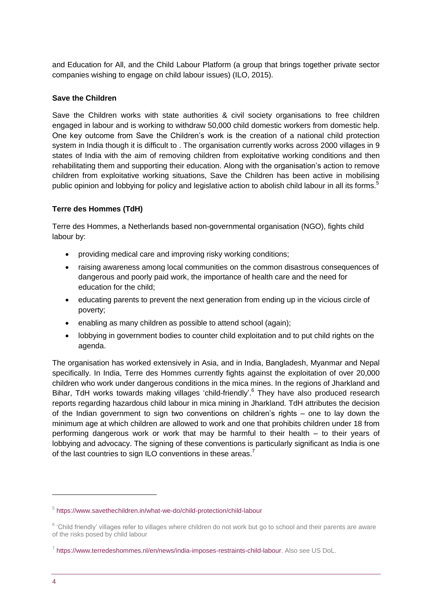and Education for All, and the Child Labour Platform (a group that brings together private sector companies wishing to engage on child labour issues) (ILO, 2015).

### **Save the Children**

Save the Children works with state authorities & civil society organisations to free children engaged in labour and is working to withdraw 50,000 child domestic workers from domestic help. One key outcome from Save the Children's work is the creation of a national child protection system in India though it is difficult to . The organisation currently works across 2000 villages in 9 states of India with the aim of removing children from exploitative working conditions and then rehabilitating them and supporting their education. Along with the organisation's action to remove children from exploitative working situations, Save the Children has been active in mobilising public opinion and lobbying for policy and legislative action to abolish child labour in all its forms.<sup>5</sup>

### **Terre des Hommes (TdH)**

Terre des Hommes, a Netherlands based non-governmental organisation (NGO), fights child labour by:

- providing medical care and improving risky working conditions;
- raising awareness among local communities on the common disastrous consequences of dangerous and poorly paid work, the importance of health care and the need for education for the child;
- educating parents to prevent the next generation from ending up in the vicious circle of poverty;
- enabling as many children as possible to attend school (again);
- lobbying in government bodies to counter child exploitation and to put child rights on the agenda.

The organisation has worked extensively in Asia, and in India, Bangladesh, Myanmar and Nepal specifically. In India, Terre des Hommes currently fights against the exploitation of over 20,000 children who work under dangerous conditions in the mica mines. In the regions of Jharkland and Bihar, TdH works towards making villages 'child-friendly'.<sup>6</sup> They have also produced research reports regarding hazardous child labour in mica mining in Jharkland. TdH attributes the decision of the Indian government to sign two conventions on children's rights – one to lay down the minimum age at which children are allowed to work and one that prohibits children under 18 from performing dangerous work or work that may be harmful to their health – to their years of lobbying and advocacy. The signing of these conventions is particularly significant as India is one of the last countries to sign ILO conventions in these areas.<sup>7</sup>

<sup>5</sup> <https://www.savethechildren.in/what-we-do/child-protection/child-labour>

<sup>&</sup>lt;sup>6</sup> 'Child friendly' villages refer to villages where children do not work but go to school and their parents are aware of the risks posed by child labour

<sup>&</sup>lt;sup>7</sup> [https://www.terredeshommes.nl/en/news/india-imposes-restraints-child-labour.](https://www.terredeshommes.nl/en/news/india-imposes-restraints-child-labour) Also see US DoL.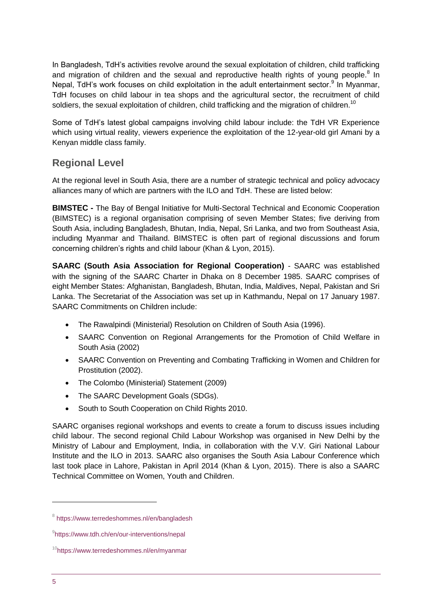In Bangladesh, TdH's activities revolve around the sexual exploitation of children, child trafficking and migration of children and the sexual and reproductive health rights of young people. $8$  In Nepal, TdH's work focuses on child exploitation in the adult entertainment sector.<sup>9</sup> In Myanmar, TdH focuses on child labour in tea shops and the agricultural sector, the recruitment of child soldiers, the sexual exploitation of children, child trafficking and the migration of children.<sup>10</sup>

Some of TdH's latest global campaigns involving child labour include: the TdH VR Experience which using virtual reality, viewers experience the exploitation of the 12-year-old girl Amani by a Kenyan middle class family.

### **Regional Level**

At the regional level in South Asia, there are a number of strategic technical and policy advocacy alliances many of which are partners with the ILO and TdH. These are listed below:

**BIMSTEC -** The Bay of Bengal Initiative for Multi-Sectoral Technical and Economic Cooperation (BIMSTEC) is a regional organisation comprising of seven Member States; five deriving from South Asia, including Bangladesh, Bhutan, India, Nepal, Sri Lanka, and two from Southeast Asia, including Myanmar and Thailand. BIMSTEC is often part of regional discussions and forum concerning children's rights and child labour (Khan & Lyon, 2015).

**SAARC (South Asia Association for Regional Cooperation)** - SAARC was established with the signing of the SAARC Charter in Dhaka on 8 December 1985. SAARC comprises of eight Member States: Afghanistan, Bangladesh, Bhutan, India, Maldives, Nepal, Pakistan and Sri Lanka. The Secretariat of the Association was set up in Kathmandu, Nepal on 17 January 1987. SAARC Commitments on Children include:

- The Rawalpindi (Ministerial) Resolution on Children of South Asia (1996).
- SAARC Convention on Regional Arrangements for the Promotion of Child Welfare in South Asia (2002)
- SAARC Convention on Preventing and Combating Trafficking in Women and Children for Prostitution (2002).
- The Colombo (Ministerial) Statement (2009)
- The SAARC Development Goals (SDGs).
- South to South Cooperation on Child Rights 2010.

SAARC organises regional workshops and events to create a forum to discuss issues including child labour. The second regional Child Labour Workshop was organised in New Delhi by the Ministry of Labour and Employment, India, in collaboration with the V.V. Giri National Labour Institute and the ILO in 2013. SAARC also organises the South Asia Labour Conference which last took place in Lahore, Pakistan in April 2014 (Khan & Lyon, 2015). There is also a SAARC Technical Committee on Women, Youth and Children.

<sup>&</sup>lt;sup>8</sup> <https://www.terredeshommes.nl/en/bangladesh>

<sup>9</sup> <https://www.tdh.ch/en/our-interventions/nepal>

<sup>&</sup>lt;sup>10</sup><https://www.terredeshommes.nl/en/myanmar>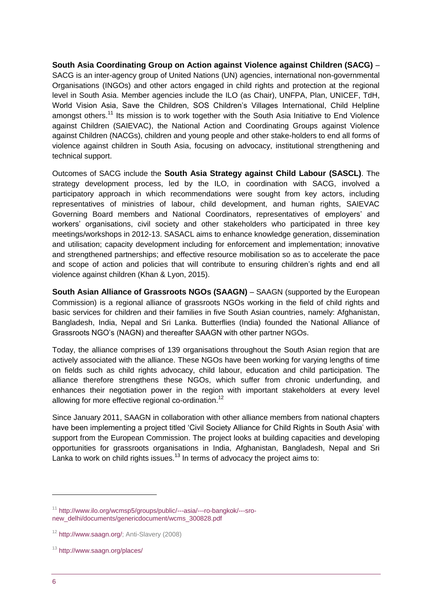**South Asia Coordinating Group on Action against Violence against Children (SACG)** – SACG is an inter-agency group of United Nations (UN) agencies, international non-governmental Organisations (INGOs) and other actors engaged in child rights and protection at the regional level in South Asia. Member agencies include the ILO (as Chair), UNFPA, Plan, UNICEF, TdH, World Vision Asia, Save the Children, SOS Children's Villages International, Child Helpline amongst others.<sup>11</sup> Its mission is to work together with the South Asia Initiative to End Violence against Children (SAIEVAC), the National Action and Coordinating Groups against Violence against Children (NACGs), children and young people and other stake-holders to end all forms of violence against children in South Asia, focusing on advocacy, institutional strengthening and technical support.

Outcomes of SACG include the **South Asia Strategy against Child Labour (SASCL)**. The strategy development process, led by the ILO, in coordination with SACG, involved a participatory approach in which recommendations were sought from key actors, including representatives of ministries of labour, child development, and human rights, SAIEVAC Governing Board members and National Coordinators, representatives of employers' and workers' organisations, civil society and other stakeholders who participated in three key meetings/workshops in 2012-13. SASACL aims to enhance knowledge generation, dissemination and utilisation; capacity development including for enforcement and implementation; innovative and strengthened partnerships; and effective resource mobilisation so as to accelerate the pace and scope of action and policies that will contribute to ensuring children's rights and end all violence against children (Khan & Lyon, 2015).

**South Asian Alliance of Grassroots NGOs (SAAGN)** – SAAGN (supported by the European Commission) is a regional alliance of grassroots NGOs working in the field of child rights and basic services for children and their families in five South Asian countries, namely: Afghanistan, Bangladesh, India, Nepal and Sri Lanka. Butterflies (India) founded the National Alliance of Grassroots NGO's (NAGN) and thereafter SAAGN with other partner NGOs.

Today, the alliance comprises of 139 organisations throughout the South Asian region that are actively associated with the alliance. These NGOs have been working for varying lengths of time on fields such as child rights advocacy, child labour, education and child participation. The alliance therefore strengthens these NGOs, which suffer from chronic underfunding, and enhances their negotiation power in the region with important stakeholders at every level allowing for more effective regional co-ordination.<sup>12</sup>

Since January 2011, SAAGN in collaboration with other alliance members from national chapters have been implementing a project titled 'Civil Society Alliance for Child Rights in South Asia' with support from the European Commission. The project looks at building capacities and developing opportunities for grassroots organisations in India, Afghanistan, Bangladesh, Nepal and Sri Lanka to work on child rights issues.<sup>13</sup> In terms of advocacy the project aims to:

<sup>11</sup> [http://www.ilo.org/wcmsp5/groups/public/---asia/---ro-bangkok/---sro](http://www.ilo.org/wcmsp5/groups/public/---asia/---ro-bangkok/---sro-new_delhi/documents/genericdocument/wcms_300828.pdf)[new\\_delhi/documents/genericdocument/wcms\\_300828.pdf](http://www.ilo.org/wcmsp5/groups/public/---asia/---ro-bangkok/---sro-new_delhi/documents/genericdocument/wcms_300828.pdf)

<sup>12</sup> [http://www.saagn.org/;](http://www.saagn.org/) Anti-Slavery (2008)

<sup>13</sup> <http://www.saagn.org/places/>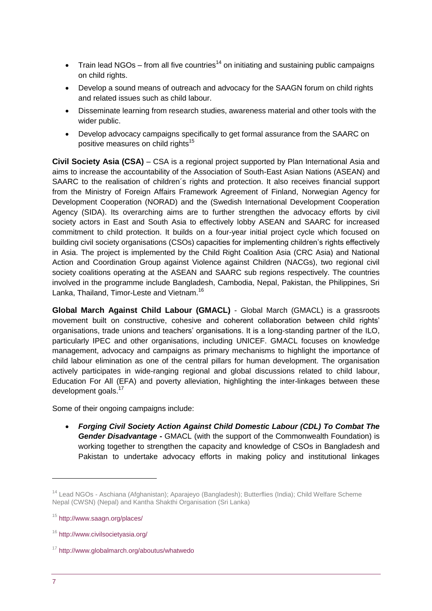- Train lead NGOs from all five countries<sup>14</sup> on initiating and sustaining public campaigns on child rights.
- Develop a sound means of outreach and advocacy for the SAAGN forum on child rights and related issues such as child labour.
- Disseminate learning from research studies, awareness material and other tools with the wider public.
- Develop advocacy campaigns specifically to get formal assurance from the SAARC on positive measures on child rights<sup>15</sup>

**Civil Society Asia (CSA)** – CSA is a regional project supported by Plan International Asia and aims to increase the accountability of the Association of South-East Asian Nations (ASEAN) and SAARC to the realisation of children´s rights and protection. It also receives financial support from the Ministry of Foreign Affairs Framework Agreement of Finland, Norwegian Agency for Development Cooperation (NORAD) and the (Swedish International Development Cooperation Agency (SIDA). Its overarching aims are to further strengthen the advocacy efforts by civil society actors in East and South Asia to effectively lobby ASEAN and SAARC for increased commitment to child protection. It builds on a four-year initial project cycle which focused on building civil society organisations (CSOs) capacities for implementing children's rights effectively in Asia. The project is implemented by the Child Right Coalition Asia (CRC Asia) and National Action and Coordination Group against Violence against Children (NACGs), two regional civil society coalitions operating at the ASEAN and SAARC sub regions respectively. The countries involved in the programme include Bangladesh, Cambodia, Nepal, Pakistan, the Philippines, Sri Lanka, Thailand, Timor-Leste and Vietnam.<sup>16</sup>

**[Global March Against Child Labour](http://www.globalmarch.org/) (GMACL)** - Global March (GMACL) is a grassroots movement built on constructive, cohesive and coherent collaboration between child rights' organisations, trade unions and teachers' organisations. It is a long-standing partner of the ILO, particularly IPEC and other organisations, including UNICEF. GMACL focuses on knowledge management, advocacy and campaigns as primary mechanisms to highlight the importance of child labour elimination as one of the central pillars for human development. The organisation actively participates in wide-ranging regional and global discussions related to child labour, Education For All (EFA) and poverty alleviation, highlighting the inter-linkages between these development goals.<sup>17</sup>

Some of their ongoing campaigns include:

 *Forging Civil Society Action Against Child Domestic Labour (CDL) To Combat The Gender Disadvantage -* GMACL (with the support of the Commonwealth Foundation) is working together to strengthen the capacity and knowledge of CSOs in Bangladesh and Pakistan to undertake advocacy efforts in making policy and institutional linkages

<sup>14</sup> Lead NGOs - Aschiana (Afghanistan); Aparajeyo (Bangladesh); Butterflies (India); Child Welfare Scheme Nepal (CWSN) (Nepal) and Kantha Shakthi Organisation (Sri Lanka)

<sup>15</sup> <http://www.saagn.org/places/>

<sup>16</sup> <http://www.civilsocietyasia.org/>

<sup>17</sup> <http://www.globalmarch.org/aboutus/whatwedo>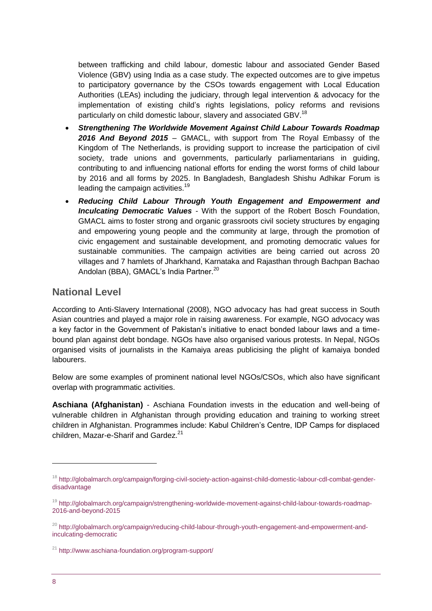between trafficking and child labour, domestic labour and associated Gender Based Violence (GBV) using India as a case study. The expected outcomes are to give impetus to participatory governance by the CSOs towards engagement with Local Education Authorities (LEAs) including the judiciary, through legal intervention & advocacy for the implementation of existing child's rights legislations, policy reforms and revisions particularly on child domestic labour, slavery and associated GBV.<sup>18</sup>

- *Strengthening The Worldwide Movement Against Child Labour Towards Roadmap 2016 And Beyond 2015* – GMACL, with support from The Royal Embassy of the Kingdom of The Netherlands, is providing support to increase the participation of civil society, trade unions and governments, particularly parliamentarians in guiding, contributing to and influencing national efforts for ending the worst forms of child labour by 2016 and all forms by 2025. In Bangladesh, Bangladesh Shishu Adhikar Forum is leading the campaign activities.<sup>19</sup>
- *Reducing Child Labour Through Youth Engagement and Empowerment and Inculcating Democratic Values* - With the support of the Robert Bosch Foundation, GMACL aims to foster strong and organic grassroots civil society structures by engaging and empowering young people and the community at large, through the promotion of civic engagement and sustainable development, and promoting democratic values for sustainable communities. The campaign activities are being carried out across 20 villages and 7 hamlets of Jharkhand, Karnataka and Rajasthan through Bachpan Bachao Andolan (BBA), GMACL's India Partner.<sup>20</sup>

### **National Level**

According to Anti-Slavery International (2008), NGO advocacy has had great success in South Asian countries and played a major role in raising awareness. For example, NGO advocacy was a key factor in the Government of Pakistan's initiative to enact bonded labour laws and a timebound plan against debt bondage. NGOs have also organised various protests. In Nepal, NGOs organised visits of journalists in the Kamaiya areas publicising the plight of kamaiya bonded labourers.

Below are some examples of prominent national level NGOs/CSOs, which also have significant overlap with programmatic activities.

**Aschiana (Afghanistan)** - Aschiana Foundation invests in the education and well-being of vulnerable children in Afghanistan through providing education and training to working street children in Afghanistan. Programmes include: Kabul Children's Centre, IDP Camps for displaced children, Mazar-e-Sharif and Gardez.<sup>21</sup>

<sup>&</sup>lt;sup>18</sup> [http://globalmarch.org/campaign/forging-civil-society-action-against-child-domestic-labour-cdl-combat-gender](http://globalmarch.org/campaign/forging-civil-society-action-against-child-domestic-labour-cdl-combat-gender-disadvantage)[disadvantage](http://globalmarch.org/campaign/forging-civil-society-action-against-child-domestic-labour-cdl-combat-gender-disadvantage)

<sup>&</sup>lt;sup>19</sup> [http://globalmarch.org/campaign/strengthening-worldwide-movement-against-child-labour-towards-roadmap-](http://globalmarch.org/campaign/strengthening-worldwide-movement-against-child-labour-towards-roadmap-2016-and-beyond-2015)[2016-and-beyond-2015](http://globalmarch.org/campaign/strengthening-worldwide-movement-against-child-labour-towards-roadmap-2016-and-beyond-2015)

<sup>&</sup>lt;sup>20</sup> [http://globalmarch.org/campaign/reducing-child-labour-through-youth-engagement-and-empowerment-and](http://globalmarch.org/campaign/reducing-child-labour-through-youth-engagement-and-empowerment-and-inculcating-democratic)[inculcating-democratic](http://globalmarch.org/campaign/reducing-child-labour-through-youth-engagement-and-empowerment-and-inculcating-democratic)

 $21$  <http://www.aschiana-foundation.org/program-support/>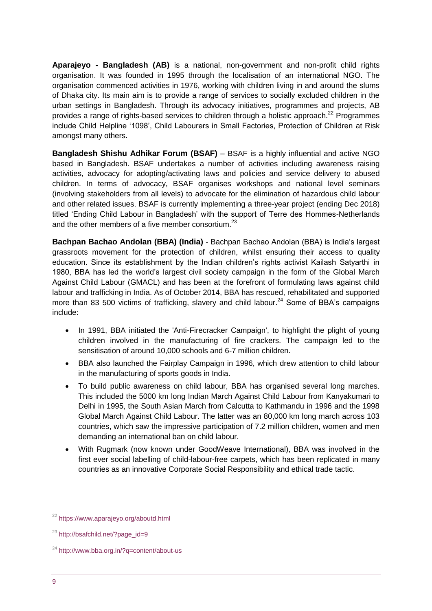**Aparajeyo - Bangladesh (AB)** is a national, non-government and non-profit child rights organisation. It was founded in 1995 through the localisation of an international NGO. The organisation commenced activities in 1976, working with children living in and around the slums of Dhaka city. Its main aim is to provide a range of services to socially excluded children in the urban settings in Bangladesh. Through its advocacy initiatives, programmes and projects, AB provides a range of rights-based services to children through a holistic approach.<sup>22</sup> Programmes include Child Helpline '1098', Child Labourers in Small Factories, Protection of Children at Risk amongst many others.

**Bangladesh Shishu Adhikar Forum (BSAF)** – BSAF is a highly influential and active NGO based in Bangladesh. BSAF undertakes a number of activities including awareness raising activities, advocacy for adopting/activating laws and policies and service delivery to abused children. In terms of advocacy, BSAF organises workshops and national level seminars (involving stakeholders from all levels) to advocate for the elimination of hazardous child labour and other related issues. BSAF is currently implementing a three-year project (ending Dec 2018) titled 'Ending Child Labour in Bangladesh' with the support of Terre des Hommes-Netherlands and the other members of a five member consortium.<sup>23</sup>

**Bachpan Bachao Andolan (BBA) (India)** - Bachpan Bachao Andolan (BBA) is India's largest grassroots movement for the protection of children, whilst ensuring their access to quality education. Since its establishment by the Indian children's rights activist Kailash Satyarthi in 1980, BBA has led the world's largest civil society campaign in the form of the Global March Against Child Labour (GMACL) and has been at the forefront of formulating laws against child labour and trafficking in India. As of October 2014, BBA has rescued, rehabilitated and supported more than 83 500 victims of trafficking, slavery and child labour.<sup>24</sup> Some of BBA's campaigns include:

- In 1991, BBA initiated the 'Anti-Firecracker Campaign', to highlight the plight of young children involved in the manufacturing of fire crackers. The campaign led to the sensitisation of around 10,000 schools and 6-7 million children.
- BBA also launched the Fairplay Campaign in 1996, which drew attention to child labour in the manufacturing of sports goods in India.
- To build public awareness on child labour, BBA has organised several long marches. This included the 5000 km long Indian March Against Child Labour from Kanyakumari to Delhi in 1995, the South Asian March from Calcutta to Kathmandu in 1996 and the 1998 Global March Against Child Labour. The latter was an 80,000 km long march across 103 countries, which saw the impressive participation of 7.2 million children, women and men demanding an international ban on child labour.
- With Rugmark (now known under GoodWeave International), BBA was involved in the first ever social labelling of child-labour-free carpets, which has been replicated in many countries as an innovative Corporate Social Responsibility and ethical trade tactic.

<sup>22</sup> <https://www.aparajeyo.org/aboutd.html>

<sup>23</sup> [http://bsafchild.net/?page\\_id=9](http://bsafchild.net/?page_id=9)

<sup>24</sup> <http://www.bba.org.in/?q=content/about-us>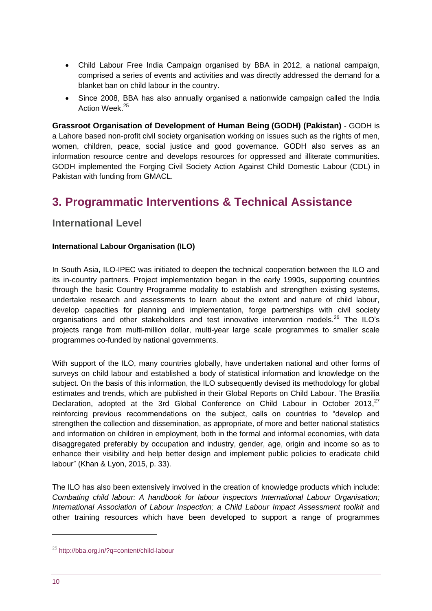- Child Labour Free India Campaign organised by BBA in 2012, a national campaign, comprised a series of events and activities and was directly addressed the demand for a blanket ban on child labour in the country.
- Since 2008, BBA has also annually organised a nationwide campaign called the India Action Week.<sup>25</sup>

**Grassroot Organisation of Development of Human Being (GODH) (Pakistan)** - GODH is a Lahore based non-profit civil society organisation working on issues such as the rights of men, women, children, peace, social justice and good governance. GODH also serves as an information resource centre and develops resources for oppressed and illiterate communities. GODH implemented the Forging Civil Society Action Against Child Domestic Labour (CDL) in Pakistan with funding from GMACL.

# <span id="page-9-0"></span>**3. Programmatic Interventions & Technical Assistance**

### **International Level**

### **International Labour Organisation (ILO)**

In South Asia, ILO-IPEC was initiated to deepen the technical cooperation between the ILO and its in-country partners. Project implementation began in the early 1990s, supporting countries through the basic Country Programme modality to establish and strengthen existing systems, undertake research and assessments to learn about the extent and nature of child labour, develop capacities for planning and implementation, forge partnerships with civil society organisations and other stakeholders and test innovative intervention models.<sup>26</sup> The ILO's projects range from multi-million dollar, multi-year large scale programmes to smaller scale programmes co-funded by national governments.

With support of the ILO, many countries globally, have undertaken national and other forms of surveys on child labour and established a body of statistical information and knowledge on the subject. On the basis of this information, the ILO subsequently devised its methodology for global estimates and trends, which are published in their Global Reports on Child Labour. The Brasilia Declaration, adopted at the 3rd Global Conference on Child Labour in October 2013,<sup>27</sup> reinforcing previous recommendations on the subject, calls on countries to "develop and strengthen the collection and dissemination, as appropriate, of more and better national statistics and information on children in employment, both in the formal and informal economies, with data disaggregated preferably by occupation and industry, gender, age, origin and income so as to enhance their visibility and help better design and implement public policies to eradicate child labour" (Khan & Lyon, 2015, p. 33).

The ILO has also been extensively involved in the creation of knowledge products which include: *Combating child labour: A handbook for labour inspectors International Labour Organisation; International Association of Labour Inspection; a Child Labour Impact Assessment toolkit* and other training resources which have been developed to support a range of programmes

<sup>25</sup> <http://bba.org.in/?q=content/child-labour>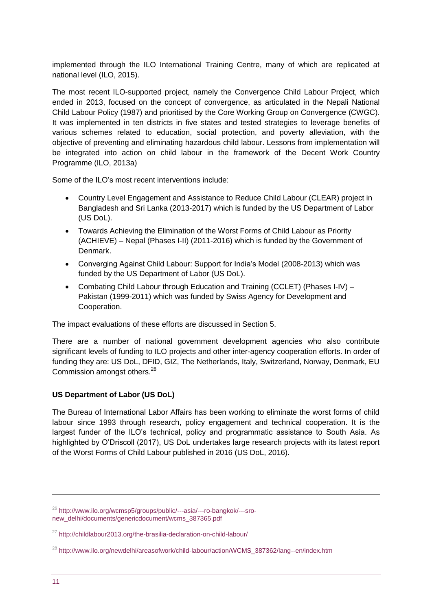implemented through the ILO International Training Centre, many of which are replicated at national level (ILO, 2015).

The most recent ILO-supported project, namely the Convergence Child Labour Project, which ended in 2013, focused on the concept of convergence, as articulated in the Nepali National Child Labour Policy (1987) and prioritised by the Core Working Group on Convergence (CWGC). It was implemented in ten districts in five states and tested strategies to leverage benefits of various schemes related to education, social protection, and poverty alleviation, with the objective of preventing and eliminating hazardous child labour. Lessons from implementation will be integrated into action on child labour in the framework of the Decent Work Country Programme (ILO, 2013a)

Some of the ILO's most recent interventions include:

- Country Level Engagement and Assistance to Reduce Child Labour (CLEAR) project in Bangladesh and Sri Lanka (2013-2017) which is funded by the US Department of Labor (US DoL).
- Towards Achieving the Elimination of the Worst Forms of Child Labour as Priority (ACHIEVE) – Nepal (Phases I-II) (2011-2016) which is funded by the Government of Denmark.
- Converging Against Child Labour: Support for India's Model (2008-2013) which was funded by the US Department of Labor (US DoL).
- Combating Child Labour through Education and Training (CCLET) (Phases I-IV) Pakistan (1999-2011) which was funded by Swiss Agency for Development and Cooperation.

The impact evaluations of these efforts are discussed in Section 5.

There are a number of national government development agencies who also contribute significant levels of funding to ILO projects and other inter-agency cooperation efforts. In order of funding they are: US DoL, DFID, GIZ, The Netherlands, Italy, Switzerland, Norway, Denmark, EU Commission amongst others.<sup>28</sup>

### **US Department of Labor (US DoL)**

The Bureau of International Labor Affairs has been working to eliminate the worst forms of child labour since 1993 through research, policy engagement and technical cooperation. It is the largest funder of the ILO's technical, policy and programmatic assistance to South Asia. As highlighted by O'Driscoll (2017), US DoL undertakes large research projects with its latest report of the Worst Forms of Child Labour published in 2016 (US DoL, 2016).

<sup>26</sup> [http://www.ilo.org/wcmsp5/groups/public/---asia/---ro-bangkok/---sro](http://www.ilo.org/wcmsp5/groups/public/---asia/---ro-bangkok/---sro-new_delhi/documents/genericdocument/wcms_387365.pdf)[new\\_delhi/documents/genericdocument/wcms\\_387365.pdf](http://www.ilo.org/wcmsp5/groups/public/---asia/---ro-bangkok/---sro-new_delhi/documents/genericdocument/wcms_387365.pdf)

<sup>&</sup>lt;sup>27</sup> <http://childlabour2013.org/the-brasilia-declaration-on-child-labour/>

<sup>&</sup>lt;sup>28</sup> [http://www.ilo.org/newdelhi/areasofwork/child-labour/action/WCMS\\_387362/lang--en/index.htm](http://www.ilo.org/newdelhi/areasofwork/child-labour/action/WCMS_387362/lang--en/index.htm)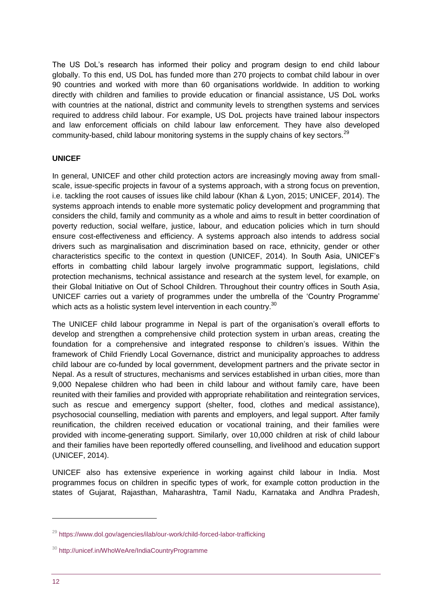The US DoL's research has informed their policy and program design to end child labour globally. To this end, US DoL has funded more than 270 projects to combat child labour in over 90 countries and worked with more than 60 organisations worldwide. In addition to working directly with children and families to provide education or financial assistance, US DoL works with countries at the national, district and community levels to strengthen systems and services required to address child labour. For example, US DoL projects have trained labour inspectors and law enforcement officials on child labour law enforcement. They have also developed community-based, child labour monitoring systems in the supply chains of key sectors.<sup>29</sup>

### **UNICEF**

In general, UNICEF and other child protection actors are increasingly moving away from smallscale, issue-specific projects in favour of a systems approach, with a strong focus on prevention, i.e. tackling the root causes of issues like child labour (Khan & Lyon, 2015; UNICEF, 2014). The systems approach intends to enable more systematic policy development and programming that considers the child, family and community as a whole and aims to result in better coordination of poverty reduction, social welfare, justice, labour, and education policies which in turn should ensure cost-effectiveness and efficiency. A systems approach also intends to address social drivers such as marginalisation and discrimination based on race, ethnicity, gender or other characteristics specific to the context in question (UNICEF, 2014). In South Asia, UNICEF's efforts in combatting child labour largely involve programmatic support, legislations, child protection mechanisms, technical assistance and research at the system level, for example, on their Global Initiative on Out of School Children. Throughout their country offices in South Asia, UNICEF carries out a variety of programmes under the umbrella of the 'Country Programme' which acts as a holistic system level intervention in each country.<sup>30</sup>

The UNICEF child labour programme in Nepal is part of the organisation's overall efforts to develop and strengthen a comprehensive child protection system in urban areas, creating the foundation for a comprehensive and integrated response to children's issues. Within the framework of Child Friendly Local Governance, district and municipality approaches to address child labour are co-funded by local government, development partners and the private sector in Nepal. As a result of structures, mechanisms and services established in urban cities, more than 9,000 Nepalese children who had been in child labour and without family care, have been reunited with their families and provided with appropriate rehabilitation and reintegration services, such as rescue and emergency support (shelter, food, clothes and medical assistance), psychosocial counselling, mediation with parents and employers, and legal support. After family reunification, the children received education or vocational training, and their families were provided with income-generating support. Similarly, over 10,000 children at risk of child labour and their families have been reportedly offered counselling, and livelihood and education support (UNICEF, 2014).

UNICEF also has extensive experience in working against child labour in India. Most programmes focus on children in specific types of work, for example cotton production in the states of Gujarat, Rajasthan, Maharashtra, Tamil Nadu, Karnataka and Andhra Pradesh,

<sup>29</sup> <https://www.dol.gov/agencies/ilab/our-work/child-forced-labor-trafficking>

<sup>&</sup>lt;sup>30</sup> <http://unicef.in/WhoWeAre/IndiaCountryProgramme>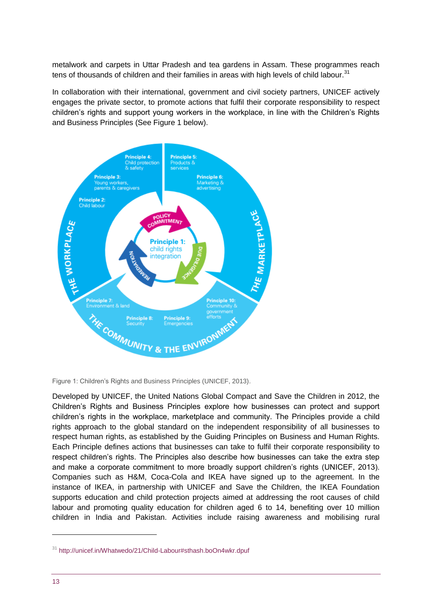metalwork and carpets in Uttar Pradesh and tea gardens in Assam. These programmes reach tens of thousands of children and their families in areas with high levels of child labour. $31$ 

In collaboration with their international, government and civil society partners, UNICEF actively engages the private sector, to promote actions that fulfil their corporate responsibility to respect children's rights and support young workers in the workplace, in line with the Children's Rights and Business Principles (See Figure 1 below).



Figure 1: Children's Rights and Business Principles (UNICEF, 2013).

Developed by UNICEF, the United Nations Global Compact and Save the Children in 2012, the Children's Rights and Business Principles explore how businesses can protect and support children's rights in the workplace, marketplace and community. The Principles provide a child rights approach to the global standard on the independent responsibility of all businesses to respect human rights, as established by the Guiding Principles on Business and Human Rights. Each Principle defines actions that businesses can take to fulfil their corporate responsibility to respect children's rights. The Principles also describe how businesses can take the extra step and make a corporate commitment to more broadly support children's rights (UNICEF, 2013). Companies such as H&M, Coca-Cola and IKEA have signed up to the agreement. In the instance of IKEA, in partnership with UNICEF and Save the Children, the IKEA Foundation supports education and child protection projects aimed at addressing the root causes of child labour and promoting quality education for children aged 6 to 14, benefiting over 10 million children in India and Pakistan. Activities include raising awareness and mobilising rural

<sup>31</sup> <http://unicef.in/Whatwedo/21/Child-Labour#sthash.boOn4wkr.dpuf>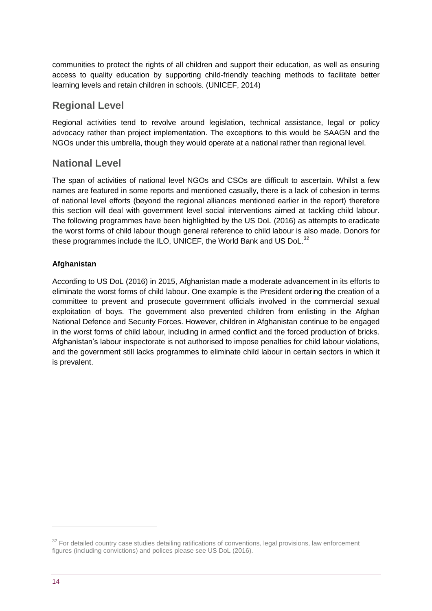communities to protect the rights of all children and support their education, as well as ensuring access to quality education by supporting child-friendly teaching methods to facilitate better learning levels and retain children in schools. (UNICEF, 2014)

### **Regional Level**

Regional activities tend to revolve around legislation, technical assistance, legal or policy advocacy rather than project implementation. The exceptions to this would be SAAGN and the NGOs under this umbrella, though they would operate at a national rather than regional level.

### **National Level**

The span of activities of national level NGOs and CSOs are difficult to ascertain. Whilst a few names are featured in some reports and mentioned casually, there is a lack of cohesion in terms of national level efforts (beyond the regional alliances mentioned earlier in the report) therefore this section will deal with government level social interventions aimed at tackling child labour. The following programmes have been highlighted by the US DoL (2016) as attempts to eradicate the worst forms of child labour though general reference to child labour is also made. Donors for these programmes include the ILO, UNICEF, the World Bank and US DoL.<sup>32</sup>

### **Afghanistan**

According to US DoL (2016) in 2015, Afghanistan made a moderate advancement in its efforts to eliminate the worst forms of child labour. One example is the President ordering the creation of a committee to prevent and prosecute government officials involved in the commercial sexual exploitation of boys. The government also prevented children from enlisting in the Afghan National Defence and Security Forces. However, children in Afghanistan continue to be engaged in the worst forms of child labour, including in armed conflict and the forced production of bricks. Afghanistan's labour inspectorate is not authorised to impose penalties for child labour violations, and the government still lacks programmes to eliminate child labour in certain sectors in which it is prevalent.

<sup>&</sup>lt;sup>32</sup> For detailed country case studies detailing ratifications of conventions, legal provisions, law enforcement figures (including convictions) and polices please see US DoL (2016).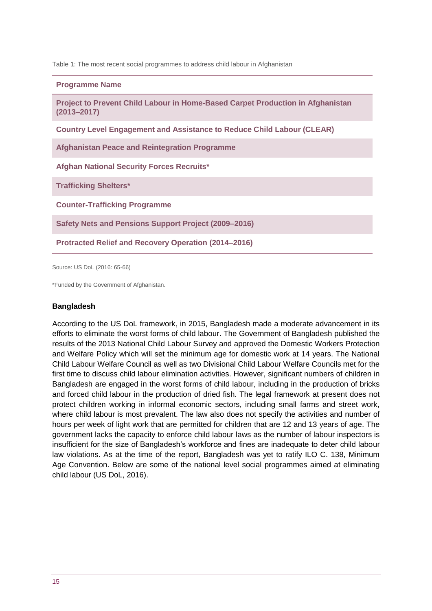Table 1: The most recent social programmes to address child labour in Afghanistan

#### **Programme Name**

**Project to Prevent Child Labour in Home-Based Carpet Production in Afghanistan (2013–2017)**

**Country Level Engagement and Assistance to Reduce Child Labour (CLEAR)**

**Afghanistan Peace and Reintegration Programme**

**Afghan National Security Forces Recruits\***

**Trafficking Shelters\***

**Counter-Trafficking Programme**

**Safety Nets and Pensions Support Project (2009–2016)**

**Protracted Relief and Recovery Operation (2014–2016)**

Source: US DoL (2016: 65-66)

\*Funded by the Government of Afghanistan.

#### **Bangladesh**

According to the US DoL framework, in 2015, Bangladesh made a moderate advancement in its efforts to eliminate the worst forms of child labour. The Government of Bangladesh published the results of the 2013 National Child Labour Survey and approved the Domestic Workers Protection and Welfare Policy which will set the minimum age for domestic work at 14 years. The National Child Labour Welfare Council as well as two Divisional Child Labour Welfare Councils met for the first time to discuss child labour elimination activities. However, significant numbers of children in Bangladesh are engaged in the worst forms of child labour, including in the production of bricks and forced child labour in the production of dried fish. The legal framework at present does not protect children working in informal economic sectors, including small farms and street work, where child labour is most prevalent. The law also does not specify the activities and number of hours per week of light work that are permitted for children that are 12 and 13 years of age. The government lacks the capacity to enforce child labour laws as the number of labour inspectors is insufficient for the size of Bangladesh's workforce and fines are inadequate to deter child labour law violations. As at the time of the report, Bangladesh was yet to ratify ILO C. 138, Minimum Age Convention. Below are some of the national level social programmes aimed at eliminating child labour (US DoL, 2016).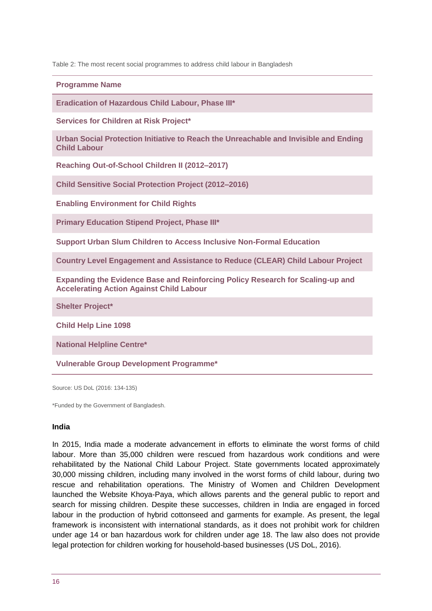Table 2: The most recent social programmes to address child labour in Bangladesh

**Programme Name**

**Eradication of Hazardous Child Labour, Phase III\***

**Services for Children at Risk Project\***

**Urban Social Protection Initiative to Reach the Unreachable and Invisible and Ending Child Labour**

**Reaching Out-of-School Children II (2012–2017)**

**Child Sensitive Social Protection Project (2012–2016)**

**Enabling Environment for Child Rights**

**Primary Education Stipend Project, Phase III\***

**Support Urban Slum Children to Access Inclusive Non-Formal Education**

**Country Level Engagement and Assistance to Reduce (CLEAR) Child Labour Project**

**Expanding the Evidence Base and Reinforcing Policy Research for Scaling-up and Accelerating Action Against Child Labour**

**Shelter Project\***

**Child Help Line 1098**

**National Helpline Centre\***

**Vulnerable Group Development Programme\***

Source: US DoL (2016: 134-135)

\*Funded by the Government of Bangladesh.

### **India**

In 2015, India made a moderate advancement in efforts to eliminate the worst forms of child labour. More than 35,000 children were rescued from hazardous work conditions and were rehabilitated by the National Child Labour Project. State governments located approximately 30,000 missing children, including many involved in the worst forms of child labour, during two rescue and rehabilitation operations. The Ministry of Women and Children Development launched the Website Khoya-Paya, which allows parents and the general public to report and search for missing children. Despite these successes, children in India are engaged in forced labour in the production of hybrid cottonseed and garments for example. As present, the legal framework is inconsistent with international standards, as it does not prohibit work for children under age 14 or ban hazardous work for children under age 18. The law also does not provide legal protection for children working for household-based businesses (US DoL, 2016).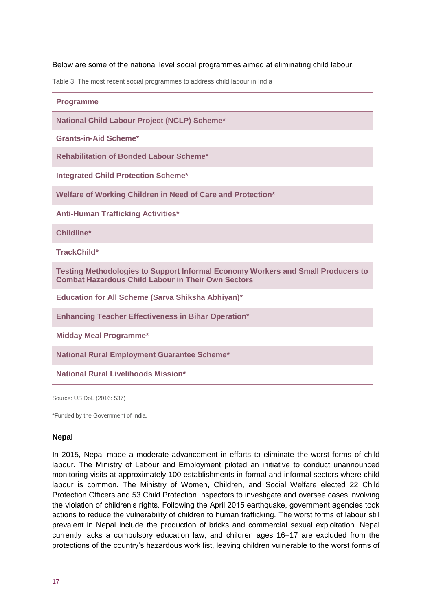#### Below are some of the national level social programmes aimed at eliminating child labour.

Table 3: The most recent social programmes to address child labour in India

#### **Programme**

**National Child Labour Project (NCLP) Scheme\***

**Grants-in-Aid Scheme\***

**Rehabilitation of Bonded Labour Scheme\***

**Integrated Child Protection Scheme\***

**Welfare of Working Children in Need of Care and Protection\***

**Anti-Human Trafficking Activities\***

**Childline\***

**TrackChild\***

**Testing Methodologies to Support Informal Economy Workers and Small Producers to Combat Hazardous Child Labour in Their Own Sectors**

**Education for All Scheme (Sarva Shiksha Abhiyan)\***

**Enhancing Teacher Effectiveness in Bihar Operation\***

**Midday Meal Programme\***

**National Rural Employment Guarantee Scheme\***

**National Rural Livelihoods Mission\***

Source: US DoL (2016: 537)

\*Funded by the Government of India.

#### **Nepal**

In 2015, Nepal made a moderate advancement in efforts to eliminate the worst forms of child labour. The Ministry of Labour and Employment piloted an initiative to conduct unannounced monitoring visits at approximately 100 establishments in formal and informal sectors where child labour is common. The Ministry of Women, Children, and Social Welfare elected 22 Child Protection Officers and 53 Child Protection Inspectors to investigate and oversee cases involving the violation of children's rights. Following the April 2015 earthquake, government agencies took actions to reduce the vulnerability of children to human trafficking. The worst forms of labour still prevalent in Nepal include the production of bricks and commercial sexual exploitation. Nepal currently lacks a compulsory education law, and children ages 16–17 are excluded from the protections of the country's hazardous work list, leaving children vulnerable to the worst forms of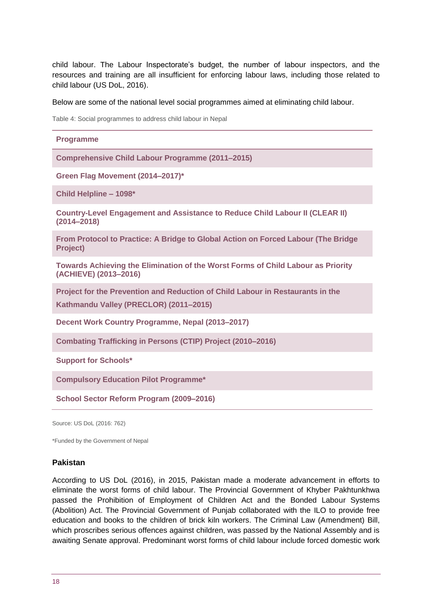child labour. The Labour Inspectorate's budget, the number of labour inspectors, and the resources and training are all insufficient for enforcing labour laws, including those related to child labour (US DoL, 2016).

#### Below are some of the national level social programmes aimed at eliminating child labour.

Table 4: Social programmes to address child labour in Nepal

| <b>Programme</b>                                                                                                         |
|--------------------------------------------------------------------------------------------------------------------------|
| <b>Comprehensive Child Labour Programme (2011-2015)</b>                                                                  |
| Green Flag Movement (2014-2017)*                                                                                         |
| Child Helpline - 1098*                                                                                                   |
| Country-Level Engagement and Assistance to Reduce Child Labour II (CLEAR II)<br>$(2014 - 2018)$                          |
| From Protocol to Practice: A Bridge to Global Action on Forced Labour (The Bridge<br>Project)                            |
| Towards Achieving the Elimination of the Worst Forms of Child Labour as Priority<br>(ACHIEVE) (2013-2016)                |
| Project for the Prevention and Reduction of Child Labour in Restaurants in the<br>Kathmandu Valley (PRECLOR) (2011-2015) |
| Decent Work Country Programme, Nepal (2013-2017)                                                                         |
| <b>Combating Trafficking in Persons (CTIP) Project (2010-2016)</b>                                                       |
| <b>Support for Schools*</b>                                                                                              |
| <b>Compulsory Education Pilot Programme*</b>                                                                             |
| School Sector Reform Program (2009–2016)                                                                                 |
|                                                                                                                          |

Source: US DoL (2016: 762)

\*Funded by the Government of Nepal

#### **Pakistan**

According to US DoL (2016), in 2015, Pakistan made a moderate advancement in efforts to eliminate the worst forms of child labour. The Provincial Government of Khyber Pakhtunkhwa passed the Prohibition of Employment of Children Act and the Bonded Labour Systems (Abolition) Act. The Provincial Government of Punjab collaborated with the ILO to provide free education and books to the children of brick kiln workers. The Criminal Law (Amendment) Bill, which proscribes serious offences against children, was passed by the National Assembly and is awaiting Senate approval. Predominant worst forms of child labour include forced domestic work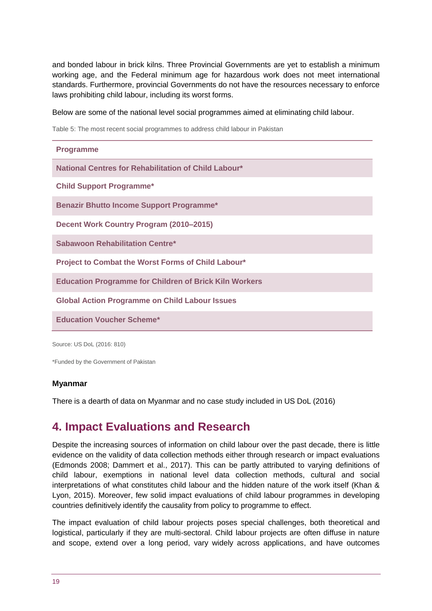and bonded labour in brick kilns. Three Provincial Governments are yet to establish a minimum working age, and the Federal minimum age for hazardous work does not meet international standards. Furthermore, provincial Governments do not have the resources necessary to enforce laws prohibiting child labour, including its worst forms.

Below are some of the national level social programmes aimed at eliminating child labour.

Table 5: The most recent social programmes to address child labour in Pakistan

| <b>Programme</b>                                              |
|---------------------------------------------------------------|
| National Centres for Rehabilitation of Child Labour*          |
| <b>Child Support Programme*</b>                               |
| <b>Benazir Bhutto Income Support Programme*</b>               |
| Decent Work Country Program (2010–2015)                       |
| <b>Sabawoon Rehabilitation Centre*</b>                        |
| Project to Combat the Worst Forms of Child Labour*            |
| <b>Education Programme for Children of Brick Kiln Workers</b> |
| <b>Global Action Programme on Child Labour Issues</b>         |
| <b>Education Voucher Scheme*</b>                              |
|                                                               |

Source: US DoL (2016: 810)

\*Funded by the Government of Pakistan

### **Myanmar**

There is a dearth of data on Myanmar and no case study included in US DoL (2016)

# <span id="page-18-0"></span>**4. Impact Evaluations and Research**

Despite the increasing sources of information on child labour over the past decade, there is little evidence on the validity of data collection methods either through research or impact evaluations (Edmonds 2008; Dammert et al., 2017). This can be partly attributed to varying definitions of child labour, exemptions in national level data collection methods, cultural and social interpretations of what constitutes child labour and the hidden nature of the work itself (Khan & Lyon, 2015). Moreover, few solid impact evaluations of child labour programmes in developing countries definitively identify the causality from policy to programme to effect.

The impact evaluation of child labour projects poses special challenges, both theoretical and logistical, particularly if they are multi-sectoral. Child labour projects are often diffuse in nature and scope, extend over a long period, vary widely across applications, and have outcomes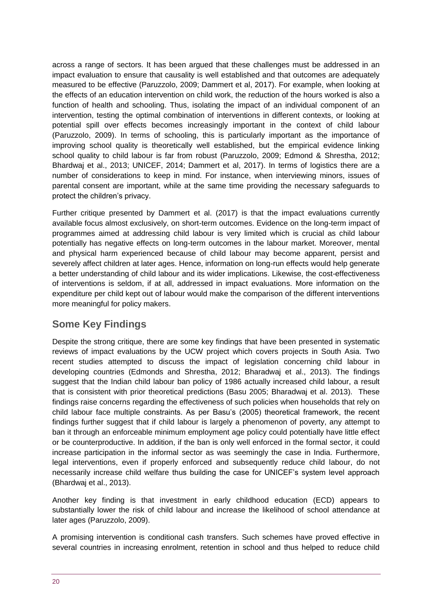across a range of sectors. It has been argued that these challenges must be addressed in an impact evaluation to ensure that causality is well established and that outcomes are adequately measured to be effective (Paruzzolo, 2009; Dammert et al, 2017). For example, when looking at the effects of an education intervention on child work, the reduction of the hours worked is also a function of health and schooling. Thus, isolating the impact of an individual component of an intervention, testing the optimal combination of interventions in different contexts, or looking at potential spill over effects becomes increasingly important in the context of child labour (Paruzzolo, 2009). In terms of schooling, this is particularly important as the importance of improving school quality is theoretically well established, but the empirical evidence linking school quality to child labour is far from robust (Paruzzolo, 2009; Edmond & Shrestha, 2012; Bhardwaj et al., 2013; UNICEF, 2014; Dammert et al, 2017). In terms of logistics there are a number of considerations to keep in mind. For instance, when interviewing minors, issues of parental consent are important, while at the same time providing the necessary safeguards to protect the children's privacy.

Further critique presented by Dammert et al. (2017) is that the impact evaluations currently available focus almost exclusively, on short-term outcomes. Evidence on the long-term impact of programmes aimed at addressing child labour is very limited which is crucial as child labour potentially has negative effects on long-term outcomes in the labour market. Moreover, mental and physical harm experienced because of child labour may become apparent, persist and severely affect children at later ages. Hence, information on long-run effects would help generate a better understanding of child labour and its wider implications. Likewise, the cost-effectiveness of interventions is seldom, if at all, addressed in impact evaluations. More information on the expenditure per child kept out of labour would make the comparison of the different interventions more meaningful for policy makers.

# **Some Key Findings**

Despite the strong critique, there are some key findings that have been presented in systematic reviews of impact evaluations by the UCW project which covers projects in South Asia. Two recent studies attempted to discuss the impact of legislation concerning child labour in developing countries (Edmonds and Shrestha, 2012; Bharadwaj et al., 2013). The findings suggest that the Indian child labour ban policy of 1986 actually increased child labour, a result that is consistent with prior theoretical predictions (Basu 2005; Bharadwaj et al. 2013). These findings raise concerns regarding the effectiveness of such policies when households that rely on child labour face multiple constraints. As per Basu's (2005) theoretical framework, the recent findings further suggest that if child labour is largely a phenomenon of poverty, any attempt to ban it through an enforceable minimum employment age policy could potentially have little effect or be counterproductive. In addition, if the ban is only well enforced in the formal sector, it could increase participation in the informal sector as was seemingly the case in India. Furthermore, legal interventions, even if properly enforced and subsequently reduce child labour, do not necessarily increase child welfare thus building the case for UNICEF's system level approach (Bhardwaj et al., 2013).

Another key finding is that investment in early childhood education (ECD) appears to substantially lower the risk of child labour and increase the likelihood of school attendance at later ages (Paruzzolo, 2009).

A promising intervention is conditional cash transfers. Such schemes have proved effective in several countries in increasing enrolment, retention in school and thus helped to reduce child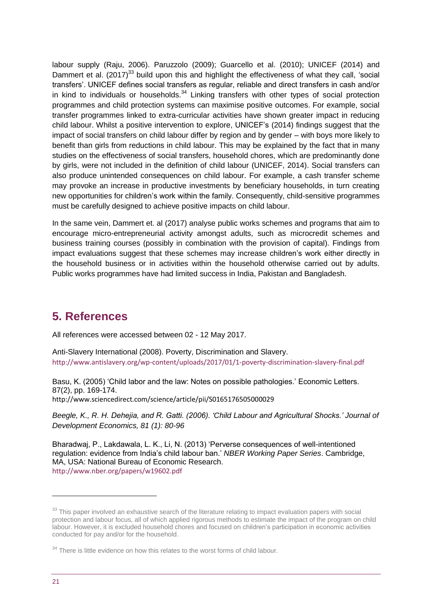labour supply (Raju, 2006). Paruzzolo (2009); Guarcello et al. (2010); UNICEF (2014) and Dammert et al. (2017)<sup>33</sup> build upon this and highlight the effectiveness of what they call, 'social transfers'. UNICEF defines social transfers as regular, reliable and direct transfers in cash and/or in kind to individuals or households. $34$  Linking transfers with other types of social protection programmes and child protection systems can maximise positive outcomes. For example, social transfer programmes linked to extra-curricular activities have shown greater impact in reducing child labour. Whilst a positive intervention to explore, UNICEF's (2014) findings suggest that the impact of social transfers on child labour differ by region and by gender – with boys more likely to benefit than girls from reductions in child labour. This may be explained by the fact that in many studies on the effectiveness of social transfers, household chores, which are predominantly done by girls, were not included in the definition of child labour (UNICEF, 2014). Social transfers can also produce unintended consequences on child labour. For example, a cash transfer scheme may provoke an increase in productive investments by beneficiary households, in turn creating new opportunities for children's work within the family. Consequently, child-sensitive programmes must be carefully designed to achieve positive impacts on child labour.

In the same vein, Dammert et. al (2017) analyse public works schemes and programs that aim to encourage micro-entrepreneurial activity amongst adults, such as microcredit schemes and business training courses (possibly in combination with the provision of capital). Findings from impact evaluations suggest that these schemes may increase children's work either directly in the household business or in activities within the household otherwise carried out by adults. Public works programmes have had limited success in India, Pakistan and Bangladesh.

# <span id="page-20-0"></span>**5. References**

All references were accessed between 02 - 12 May 2017.

Anti-Slavery International (2008). Poverty, Discrimination and Slavery. <http://www.antislavery.org/wp-content/uploads/2017/01/1-poverty-discrimination-slavery-final.pdf>

Basu, K. (2005) 'Child labor and the law: Notes on possible pathologies.' Economic Letters. 87(2), pp. 169-174. <http://www.sciencedirect.com/science/article/pii/S0165176505000029>

*Beegle, K., R. H. Dehejia, and R. Gatti. (2006). 'Child Labour and Agricultural Shocks.' Journal of Development Economics, 81 (1): 80-96*

Bharadwaj, P., Lakdawala, L. K., Li, N. (2013) 'Perverse consequences of well-intentioned regulation: evidence from India's child labour ban.' *NBER Working Paper Series*. Cambridge, MA, USA: National Bureau of Economic Research.

<http://www.nber.org/papers/w19602.pdf>

<sup>&</sup>lt;sup>33</sup> This paper involved an exhaustive search of the literature relating to impact evaluation papers with social protection and labour focus, all of which applied rigorous methods to estimate the impact of the program on child labour. However, it is excluded household chores and focused on children's participation in economic activities conducted for pay and/or for the household.

 $34$  There is little evidence on how this relates to the worst forms of child labour.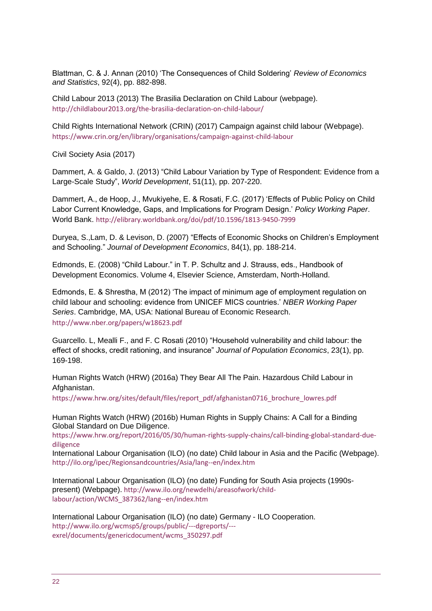Blattman, C. & J. Annan (2010) 'The Consequences of Child Soldering' *Review of Economics and Statistics*, 92(4), pp. 882-898.

Child Labour 2013 (2013) The Brasilia Declaration on Child Labour (webpage). <http://childlabour2013.org/the-brasilia-declaration-on-child-labour/>

Child Rights International Network (CRIN) (2017) Campaign against child labour (Webpage). <https://www.crin.org/en/library/organisations/campaign-against-child-labour>

Civil Society Asia (2017)

Dammert, A. & Galdo, J. (2013) "Child Labour Variation by Type of Respondent: Evidence from a Large-Scale Study", *World Development*, 51(11), pp. 207-220.

Dammert, A., de Hoop, J., Mvukiyehe, E. & Rosati, F.C. (2017) 'Effects of Public Policy on Child Labor Current Knowledge, Gaps, and Implications for Program Design.' *Policy Working Paper*. World Bank. <http://elibrary.worldbank.org/doi/pdf/10.1596/1813-9450-7999>

Duryea, S.,Lam, D. & Levison, D. (2007) "Effects of Economic Shocks on Children's Employment and Schooling." *Journal of Development Economics*, 84(1), pp. 188-214.

Edmonds, E. (2008) "Child Labour." in T. P. Schultz and J. Strauss, eds., Handbook of Development Economics. Volume 4, Elsevier Science, Amsterdam, North-Holland.

Edmonds, E. & Shrestha, M (2012) 'The impact of minimum age of employment regulation on child labour and schooling: evidence from UNICEF MICS countries.' *NBER Working Paper Series*. Cambridge, MA, USA: National Bureau of Economic Research. <http://www.nber.org/papers/w18623.pdf>

Guarcello. L, Mealli F., and F. C Rosati (2010) "Household vulnerability and child labour: the effect of shocks, credit rationing, and insurance" *Journal of Population Economics*, 23(1), pp. 169-198.

Human Rights Watch (HRW) (2016a) They Bear All The Pain. Hazardous Child Labour in Afghanistan.

[https://www.hrw.org/sites/default/files/report\\_pdf/afghanistan0716\\_brochure\\_lowres.pdf](https://www.hrw.org/sites/default/files/report_pdf/afghanistan0716_brochure_lowres.pdf)

Human Rights Watch (HRW) (2016b) Human Rights in Supply Chains: A Call for a Binding Global Standard on Due Diligence.

[https://www.hrw.org/report/2016/05/30/human-rights-supply-chains/call-binding-global-standard-due](https://www.hrw.org/report/2016/05/30/human-rights-supply-chains/call-binding-global-standard-due-diligence)[diligence](https://www.hrw.org/report/2016/05/30/human-rights-supply-chains/call-binding-global-standard-due-diligence)

International Labour Organisation (ILO) (no date) Child labour in Asia and the Pacific (Webpage). <http://ilo.org/ipec/Regionsandcountries/Asia/lang--en/index.htm>

International Labour Organisation (ILO) (no date) Funding for South Asia projects (1990spresent) (Webpage). [http://www.ilo.org/newdelhi/areasofwork/child](http://www.ilo.org/newdelhi/areasofwork/child-labour/action/WCMS_387362/lang--en/index.htm)[labour/action/WCMS\\_387362/lang--en/index.htm](http://www.ilo.org/newdelhi/areasofwork/child-labour/action/WCMS_387362/lang--en/index.htm)

International Labour Organisation (ILO) (no date) Germany - ILO Cooperation. [http://www.ilo.org/wcmsp5/groups/public/---dgreports/--](http://www.ilo.org/wcmsp5/groups/public/---dgreports/---exrel/documents/genericdocument/wcms_350297.pdf) [exrel/documents/genericdocument/wcms\\_350297.pdf](http://www.ilo.org/wcmsp5/groups/public/---dgreports/---exrel/documents/genericdocument/wcms_350297.pdf)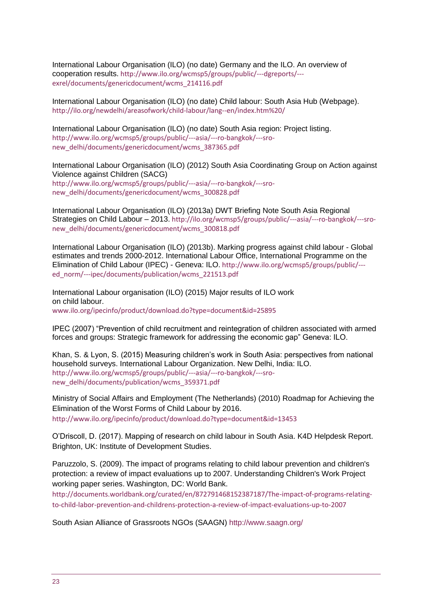International Labour Organisation (ILO) (no date) Germany and the ILO. An overview of cooperation results. [http://www.ilo.org/wcmsp5/groups/public/---dgreports/--](http://www.ilo.org/wcmsp5/groups/public/---dgreports/---exrel/documents/genericdocument/wcms_214116.pdf) [exrel/documents/genericdocument/wcms\\_214116.pdf](http://www.ilo.org/wcmsp5/groups/public/---dgreports/---exrel/documents/genericdocument/wcms_214116.pdf)

International Labour Organisation (ILO) (no date) Child labour: South Asia Hub (Webpage). <http://ilo.org/newdelhi/areasofwork/child-labour/lang--en/index.htm%20/>

International Labour Organisation (ILO) (no date) South Asia region: Project listing. [http://www.ilo.org/wcmsp5/groups/public/---asia/---ro-bangkok/---sro](http://www.ilo.org/wcmsp5/groups/public/---asia/---ro-bangkok/---sro-new_delhi/documents/genericdocument/wcms_387365.pdf)[new\\_delhi/documents/genericdocument/wcms\\_387365.pdf](http://www.ilo.org/wcmsp5/groups/public/---asia/---ro-bangkok/---sro-new_delhi/documents/genericdocument/wcms_387365.pdf)

International Labour Organisation (ILO) (2012) South Asia Coordinating Group on Action against Violence against Children (SACG) [http://www.ilo.org/wcmsp5/groups/public/---asia/---ro-bangkok/---sro](http://www.ilo.org/wcmsp5/groups/public/---asia/---ro-bangkok/---sro-new_delhi/documents/genericdocument/wcms_300828.pdf)[new\\_delhi/documents/genericdocument/wcms\\_300828.pdf](http://www.ilo.org/wcmsp5/groups/public/---asia/---ro-bangkok/---sro-new_delhi/documents/genericdocument/wcms_300828.pdf)

International Labour Organisation (ILO) (2013a) DWT Briefing Note South Asia Regional Strategies on Child Labour – 2013. [http://ilo.org/wcmsp5/groups/public/---asia/---ro-bangkok/---sro](http://ilo.org/wcmsp5/groups/public/---asia/---ro-bangkok/---sro-new_delhi/documents/genericdocument/wcms_300818.pdf)[new\\_delhi/documents/genericdocument/wcms\\_300818.pdf](http://ilo.org/wcmsp5/groups/public/---asia/---ro-bangkok/---sro-new_delhi/documents/genericdocument/wcms_300818.pdf)

International Labour Organisation (ILO) (2013b). Marking progress against child labour - Global estimates and trends 2000-2012. International Labour Office, International Programme on the Elimination of Child Labour (IPEC) - Geneva: ILO. [http://www.ilo.org/wcmsp5/groups/public/--](http://www.ilo.org/wcmsp5/groups/public/---ed_norm/---ipec/documents/publication/wcms_221513.pdf) [ed\\_norm/---ipec/documents/publication/wcms\\_221513.pdf](http://www.ilo.org/wcmsp5/groups/public/---ed_norm/---ipec/documents/publication/wcms_221513.pdf)

International Labour organisation (ILO) (2015) Major results of ILO work on child labour. [www.ilo.org/ipecinfo/product/download.do?type=document&id=25895](http://www.ilo.org/ipecinfo/product/download.do?type=document&id=25895)

IPEC (2007) "Prevention of child recruitment and reintegration of children associated with armed forces and groups: Strategic framework for addressing the economic gap" Geneva: ILO.

Khan, S. & Lyon, S. (2015) Measuring children's work in South Asia: perspectives from national household surveys. International Labour Organization. New Delhi, India: ILO. [http://www.ilo.org/wcmsp5/groups/public/---asia/---ro-bangkok/---sro](http://www.ilo.org/wcmsp5/groups/public/---asia/---ro-bangkok/---sro-new_delhi/documents/publication/wcms_359371.pdf)[new\\_delhi/documents/publication/wcms\\_359371.pdf](http://www.ilo.org/wcmsp5/groups/public/---asia/---ro-bangkok/---sro-new_delhi/documents/publication/wcms_359371.pdf)

Ministry of Social Affairs and Employment (The Netherlands) (2010) Roadmap for Achieving the Elimination of the Worst Forms of Child Labour by 2016. <http://www.ilo.org/ipecinfo/product/download.do?type=document&id=13453>

O'Driscoll, D. (2017). Mapping of research on child labour in South Asia. K4D Helpdesk Report. Brighton, UK: Institute of Development Studies.

Paruzzolo, S. (2009). The impact of programs relating to child labour prevention and children's protection: a review of impact evaluations up to 2007. Understanding Children's Work Project working paper series. Washington, DC: World Bank.

[http://documents.worldbank.org/curated/en/872791468152387187/The-impact-of-programs-relating](http://documents.worldbank.org/curated/en/872791468152387187/The-impact-of-programs-relating-to-child-labor-prevention-and-childrens-protection-a-review-of-impact-evaluations-up-to-2007)[to-child-labor-prevention-and-childrens-protection-a-review-of-impact-evaluations-up-to-2007](http://documents.worldbank.org/curated/en/872791468152387187/The-impact-of-programs-relating-to-child-labor-prevention-and-childrens-protection-a-review-of-impact-evaluations-up-to-2007)

South Asian Alliance of Grassroots NGOs (SAAGN)<http://www.saagn.org/>